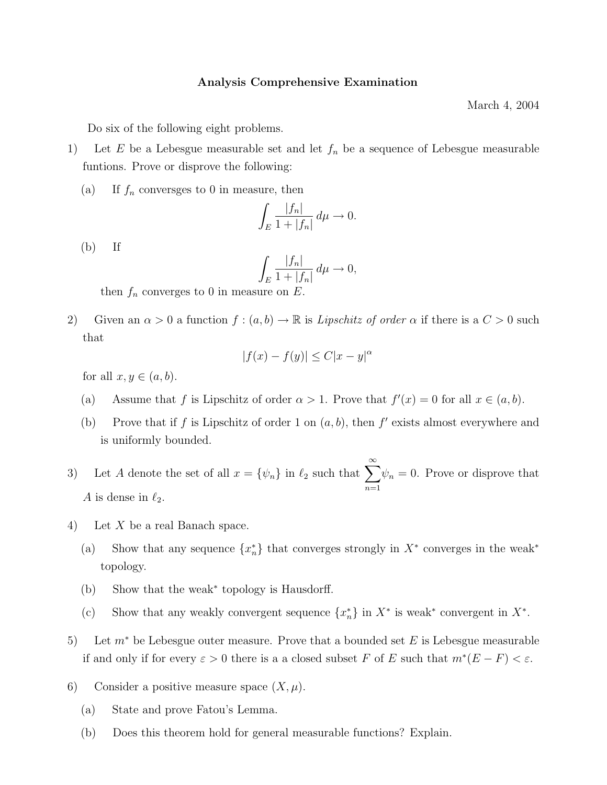## Analysis Comprehensive Examination

March 4, 2004

Do six of the following eight problems.

- 1) Let  $E$  be a Lebesgue measurable set and let  $f_n$  be a sequence of Lebesgue measurable funtions. Prove or disprove the following:
	- (a) If  $f_n$  conversges to 0 in measure, then

$$
\int_E \frac{|f_n|}{1+|f_n|} d\mu \to 0.
$$

 $(b)$  If

$$
\int_E \frac{|f_n|}{1+|f_n|} \, d\mu \to 0,
$$

then  $f_n$  converges to 0 in measure on  $E$ .

2) Given an  $\alpha > 0$  a function  $f : (a, b) \to \mathbb{R}$  is Lipschitz of order  $\alpha$  if there is a  $C > 0$  such that

$$
|f(x) - f(y)| \le C|x - y|^{\alpha}
$$

for all  $x, y \in (a, b)$ .

- (a) Assume that f is Lipschitz of order  $\alpha > 1$ . Prove that  $f'(x) = 0$  for all  $x \in (a, b)$ .
- (b) Prove that if f is Lipschitz of order 1 on  $(a, b)$ , then f' exists almost everywhere and is uniformly bounded.
- 3) Let A denote the set of all  $x = \{\psi_n\}$  in  $\ell_2$  such that  $\sum_{n=1}^{\infty}$  $n=1$  $\psi_n = 0$ . Prove or disprove that A is dense in  $\ell_2$ .
- 4) Let X be a real Banach space.
	- (a) Show that any sequence  $\{x_n^*\}$  that converges strongly in  $X^*$  converges in the weak<sup>\*</sup> topology.
	- (b) Show that the weak<sup>∗</sup> topology is Hausdorff.
	- (c) Show that any weakly convergent sequence  $\{x_n^*\}$  in  $X^*$  is weak\* convergent in  $X^*$ .
- 5) Let  $m^*$  be Lebesgue outer measure. Prove that a bounded set E is Lebesgue measurable if and only if for every  $\varepsilon > 0$  there is a a closed subset F of E such that  $m^*(E - F) < \varepsilon$ .
- 6) Consider a positive measure space  $(X, \mu)$ .
	- (a) State and prove Fatou's Lemma.
	- (b) Does this theorem hold for general measurable functions? Explain.